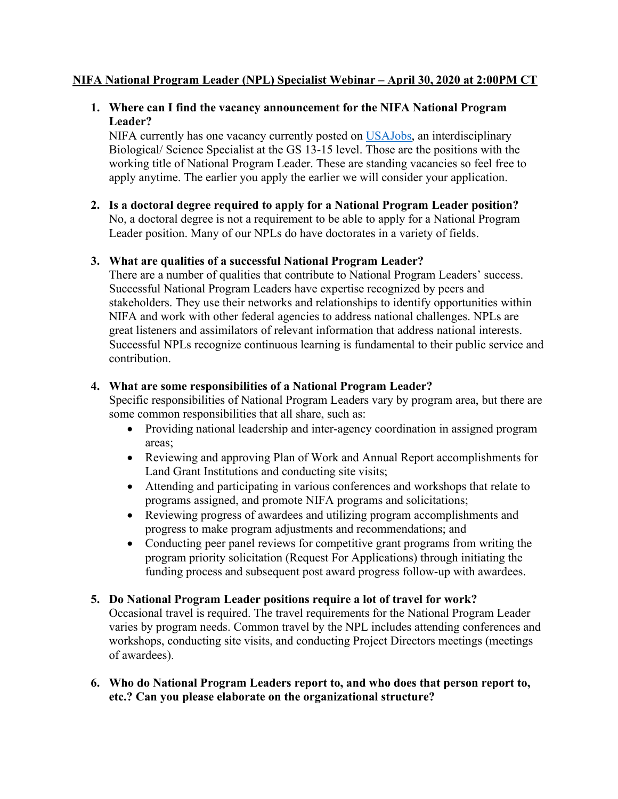# **NIFA National Program Leader (NPL) Specialist Webinar – April 30, 2020 at 2:00PM CT**

## **1. Where can I find the vacancy announcement for the NIFA National Program Leader?**

NIFA currently has one vacancy currently posted on [USAJobs,](https://www.usajobs.gov/Search/?a=AG22&p=1) an interdisciplinary working title of National Program Leader. These are standing vacancies so feel free to Biological/ Science Specialist at the GS 13-15 level. Those are the positions with the apply anytime. The earlier you apply the earlier we will consider your application.

**2. Is a doctoral degree required to apply for a National Program Leader position?**  No, a doctoral degree is not a requirement to be able to apply for a National Program Leader position. Many of our NPLs do have doctorates in a variety of fields.

## **3. What are qualities of a successful National Program Leader?**

 NIFA and work with other federal agencies to address national challenges. NPLs are There are a number of qualities that contribute to National Program Leaders' success. Successful National Program Leaders have expertise recognized by peers and stakeholders. They use their networks and relationships to identify opportunities within great listeners and assimilators of relevant information that address national interests. Successful NPLs recognize continuous learning is fundamental to their public service and contribution.

## **4. What are some responsibilities of a National Program Leader?**

 Specific responsibilities of National Program Leaders vary by program area, but there are some common responsibilities that all share, such as:

- • Providing national leadership and inter-agency coordination in assigned program areas;
- Land Grant Institutions and conducting site visits; • Reviewing and approving Plan of Work and Annual Report accomplishments for
- Attending and participating in various conferences and workshops that relate to programs assigned, and promote NIFA programs and solicitations;
- Reviewing progress of awardees and utilizing program accomplishments and progress to make program adjustments and recommendations; and
- Conducting peer panel reviews for competitive grant programs from writing the program priority solicitation (Request For Applications) through initiating the funding process and subsequent post award progress follow-up with awardees.

# **5. Do National Program Leader positions require a lot of travel for work?**

 of awardees). Occasional travel is required. The travel requirements for the National Program Leader varies by program needs. Common travel by the NPL includes attending conferences and workshops, conducting site visits, and conducting Project Directors meetings (meetings

**6. Who do National Program Leaders report to, and who does that person report to, etc.? Can you please elaborate on the organizational structure?**